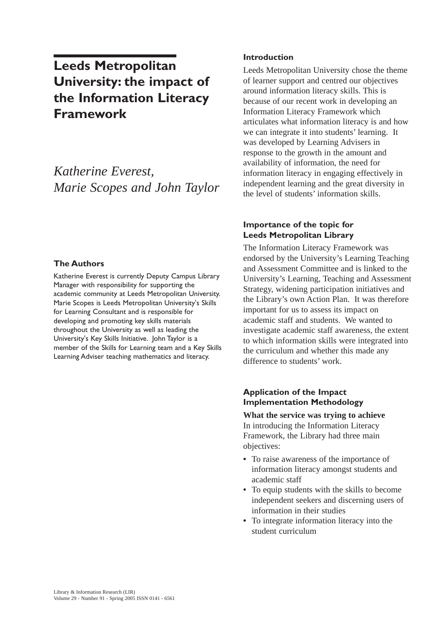# **Leeds Metropolitan University: the impact of the Information Literacy Framework**

*Katherine Everest, Marie Scopes and John Taylor*

## **The Authors**

Katherine Everest is currently Deputy Campus Library Manager with responsibility for supporting the academic community at Leeds Metropolitan University. Marie Scopes is Leeds Metropolitan University's Skills for Learning Consultant and is responsible for developing and promoting key skills materials throughout the University as well as leading the University's Key Skills Initiative. John Taylor is a member of the Skills for Learning team and a Key Skills Learning Adviser teaching mathematics and literacy.

#### **Introduction**

Leeds Metropolitan University chose the theme of learner support and centred our objectives around information literacy skills. This is because of our recent work in developing an Information Literacy Framework which articulates what information literacy is and how we can integrate it into students' learning. It was developed by Learning Advisers in response to the growth in the amount and availability of information, the need for information literacy in engaging effectively in independent learning and the great diversity in the level of students' information skills.

## **Importance of the topic for Leeds Metropolitan Library**

The Information Literacy Framework was endorsed by the University's Learning Teaching and Assessment Committee and is linked to the University's Learning, Teaching and Assessment Strategy, widening participation initiatives and the Library's own Action Plan. It was therefore important for us to assess its impact on academic staff and students. We wanted to investigate academic staff awareness, the extent to which information skills were integrated into the curriculum and whether this made any difference to students' work.

## **Application of the Impact Implementation Methodology**

**What the service was trying to achieve**  In introducing the Information Literacy Framework, the Library had three main objectives:

- **•** To raise awareness of the importance of information literacy amongst students and academic staff
- **•** To equip students with the skills to become independent seekers and discerning users of information in their studies
- **•** To integrate information literacy into the student curriculum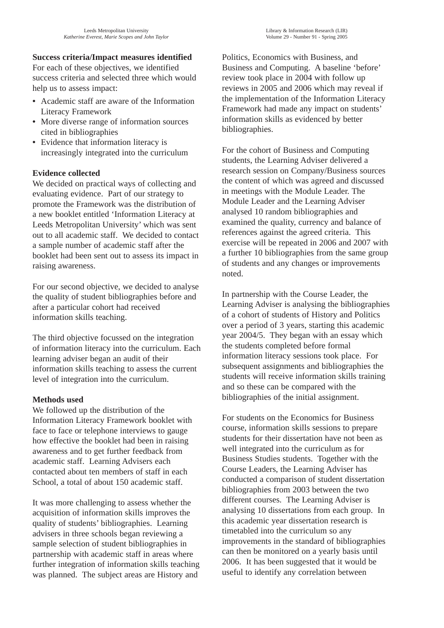## **Success criteria/Impact measures identified**

For each of these objectives, we identified success criteria and selected three which would help us to assess impact:

- **•** Academic staff are aware of the Information Literacy Framework
- **•** More diverse range of information sources cited in bibliographies
- **•** Evidence that information literacy is increasingly integrated into the curriculum

## **Evidence collected**

We decided on practical ways of collecting and evaluating evidence. Part of our strategy to promote the Framework was the distribution of a new booklet entitled 'Information Literacy at Leeds Metropolitan University' which was sent out to all academic staff. We decided to contact a sample number of academic staff after the booklet had been sent out to assess its impact in raising awareness.

For our second objective, we decided to analyse the quality of student bibliographies before and after a particular cohort had received information skills teaching.

The third objective focussed on the integration of information literacy into the curriculum. Each learning adviser began an audit of their information skills teaching to assess the current level of integration into the curriculum.

## **Methods used**

We followed up the distribution of the Information Literacy Framework booklet with face to face or telephone interviews to gauge how effective the booklet had been in raising awareness and to get further feedback from academic staff. Learning Advisers each contacted about ten members of staff in each School, a total of about 150 academic staff.

It was more challenging to assess whether the acquisition of information skills improves the quality of students' bibliographies. Learning advisers in three schools began reviewing a sample selection of student bibliographies in partnership with academic staff in areas where further integration of information skills teaching was planned. The subject areas are History and

Library & Information Research (LIR)

Politics, Economics with Business, and Business and Computing. A baseline 'before' review took place in 2004 with follow up reviews in 2005 and 2006 which may reveal if the implementation of the Information Literacy Framework had made any impact on students' information skills as evidenced by better bibliographies.

For the cohort of Business and Computing students, the Learning Adviser delivered a research session on Company/Business sources the content of which was agreed and discussed in meetings with the Module Leader. The Module Leader and the Learning Adviser analysed 10 random bibliographies and examined the quality, currency and balance of references against the agreed criteria. This exercise will be repeated in 2006 and 2007 with a further 10 bibliographies from the same group of students and any changes or improvements noted.

In partnership with the Course Leader, the Learning Adviser is analysing the bibliographies of a cohort of students of History and Politics over a period of 3 years, starting this academic year 2004/5. They began with an essay which the students completed before formal information literacy sessions took place. For subsequent assignments and bibliographies the students will receive information skills training and so these can be compared with the bibliographies of the initial assignment.

For students on the Economics for Business course, information skills sessions to prepare students for their dissertation have not been as well integrated into the curriculum as for Business Studies students. Together with the Course Leaders, the Learning Adviser has conducted a comparison of student dissertation bibliographies from 2003 between the two different courses. The Learning Adviser is analysing 10 dissertations from each group. In this academic year dissertation research is timetabled into the curriculum so any improvements in the standard of bibliographies can then be monitored on a yearly basis until 2006. It has been suggested that it would be useful to identify any correlation between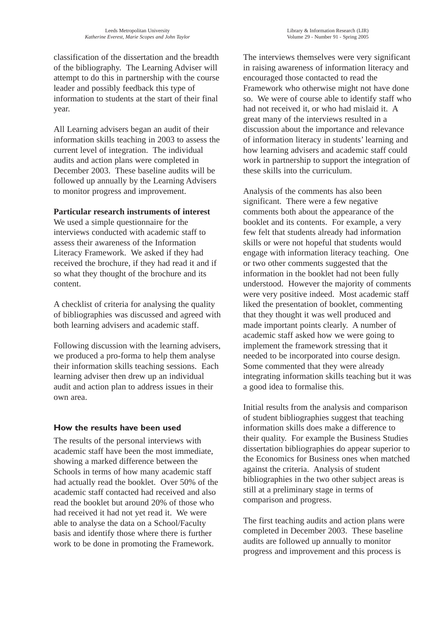classification of the dissertation and the breadth of the bibliography. The Learning Adviser will attempt to do this in partnership with the course leader and possibly feedback this type of information to students at the start of their final year.

All Learning advisers began an audit of their information skills teaching in 2003 to assess the current level of integration. The individual audits and action plans were completed in December 2003. These baseline audits will be followed up annually by the Learning Advisers to monitor progress and improvement.

#### **Particular research instruments of interest**

We used a simple questionnaire for the interviews conducted with academic staff to assess their awareness of the Information Literacy Framework. We asked if they had received the brochure, if they had read it and if so what they thought of the brochure and its content.

A checklist of criteria for analysing the quality of bibliographies was discussed and agreed with both learning advisers and academic staff.

Following discussion with the learning advisers, we produced a pro-forma to help them analyse their information skills teaching sessions. Each learning adviser then drew up an individual audit and action plan to address issues in their own area.

## **How the results have been used**

The results of the personal interviews with academic staff have been the most immediate, showing a marked difference between the Schools in terms of how many academic staff had actually read the booklet. Over 50% of the academic staff contacted had received and also read the booklet but around 20% of those who had received it had not yet read it. We were able to analyse the data on a School/Faculty basis and identify those where there is further work to be done in promoting the Framework.

The interviews themselves were very significant in raising awareness of information literacy and encouraged those contacted to read the Framework who otherwise might not have done so. We were of course able to identify staff who had not received it, or who had mislaid it. A great many of the interviews resulted in a discussion about the importance and relevance of information literacy in students' learning and how learning advisers and academic staff could work in partnership to support the integration of these skills into the curriculum.

Analysis of the comments has also been significant. There were a few negative comments both about the appearance of the booklet and its contents. For example, a very few felt that students already had information skills or were not hopeful that students would engage with information literacy teaching. One or two other comments suggested that the information in the booklet had not been fully understood. However the majority of comments were very positive indeed. Most academic staff liked the presentation of booklet, commenting that they thought it was well produced and made important points clearly. A number of academic staff asked how we were going to implement the framework stressing that it needed to be incorporated into course design. Some commented that they were already integrating information skills teaching but it was a good idea to formalise this.

Initial results from the analysis and comparison of student bibliographies suggest that teaching information skills does make a difference to their quality. For example the Business Studies dissertation bibliographies do appear superior to the Economics for Business ones when matched against the criteria. Analysis of student bibliographies in the two other subject areas is still at a preliminary stage in terms of comparison and progress.

The first teaching audits and action plans were completed in December 2003. These baseline audits are followed up annually to monitor progress and improvement and this process is